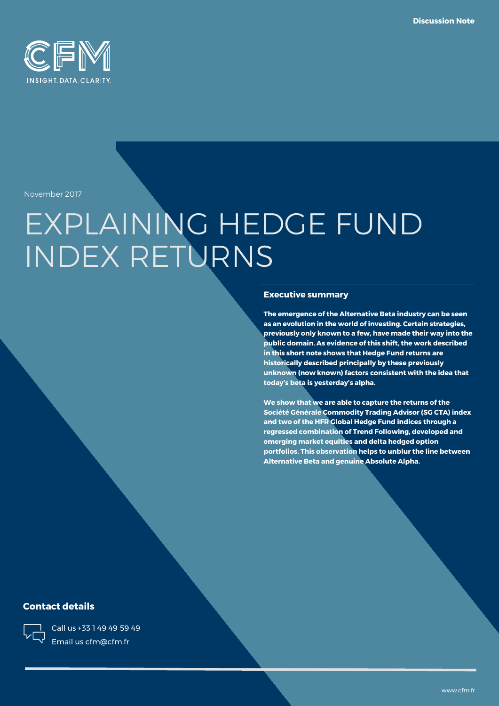

November 2017

# EXPLAINING HEDGE FUND INDEX RETURNS

#### **Executive summary**

**The emergence of the Alternative Beta industry can be seen as an evolution in the world of investing. Certain strategies, previously only known to a few, have made their way into the public domain. As evidence of this shift, the work described in this short note shows that Hedge Fund returns are historically described principally by these previously unknown (now known) factors consistent with the idea that today's beta is yesterday's alpha.** 

**We show that we are able to capture the returns of the Société Générale Commodity Trading Advisor (SG CTA) index and two of the HFR Global Hedge Fund indices through a regressed combination of Trend Following, developed and emerging market equities and delta hedged option portfolios. This observation helps to unblur the line between Alternative Beta and genuine Absolute Alpha.**

### **Contact details**



Call us +33 1 49 49 59 49 Email us cfm@cfm.fr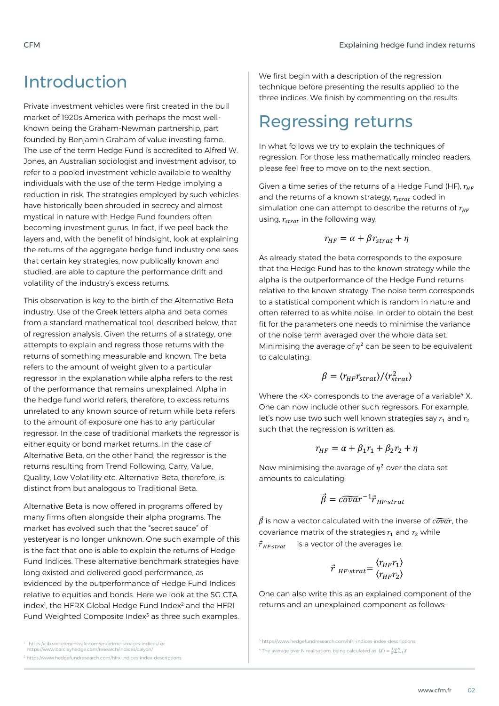## Introduction

Private investment vehicles were first created in the bull market of 1920s America with perhaps the most wellknown being the Graham-Newman partnership, part founded by Benjamin Graham of value investing fame. The use of the term Hedge Fund is accredited to Alfred W. Jones, an Australian sociologist and investment advisor, to refer to a pooled investment vehicle available to wealthy individuals with the use of the term Hedge implying a reduction in risk. The strategies employed by such vehicles have historically been shrouded in secrecy and almost mystical in nature with Hedge Fund founders often becoming investment gurus. In fact, if we peel back the layers and, with the benefit of hindsight, look at explaining the returns of the aggregate hedge fund industry one sees that certain key strategies, now publically known and studied, are able to capture the performance drift and volatility of the industry's excess returns.

This observation is key to the birth of the Alternative Beta industry. Use of the Greek letters alpha and beta comes from a standard mathematical tool, described below, that of regression analysis. Given the returns of a strategy, one attempts to explain and regress those returns with the returns of something measurable and known. The beta refers to the amount of weight given to a particular regressor in the explanation while alpha refers to the rest of the performance that remains unexplained. Alpha in the hedge fund world refers, therefore, to excess returns unrelated to any known source of return while beta refers to the amount of exposure one has to any particular regressor. In the case of traditional markets the regressor is either equity or bond market returns. In the case of Alternative Beta, on the other hand, the regressor is the returns resulting from Trend Following, Carry, Value, Quality, Low Volatility etc. Alternative Beta, therefore, is distinct from but analogous to Traditional Beta.

Alternative Beta is now offered in programs offered by many firms often alongside their alpha programs. The market has evolved such that the "secret sauce" of yesteryear is no longer unknown. One such example of this is the fact that one is able to explain the returns of Hedge Fund Indices. These alternative benchmark strategies have long existed and delivered good performance, as evidenced by the outperformance of Hedge Fund Indices relative to equities and bonds. Here we look at the SG CTA index<sup>1</sup>, the HFRX Global Hedge Fund Index<sup>2</sup> and the HFRI Fund Weighted Composite Index<sup>3</sup> as three such examples.

https://cib.societegenerale.com/en/prime-services-indices/ or

https://www.barclayhedge.com/research/indices/calyon/

<sup>2</sup> https://www.hedgefundresearch.com/hfrx-indices-index-descriptions

We first begin with a description of the regression technique before presenting the results applied to the three indices. We finish by commenting on the results.

# Regressing returns

In what follows we try to explain the techniques of regression. For those less mathematically minded readers, please feel free to move on to the next section.

Given a time series of the returns of a Hedge Fund (HF),  $r_{HF}$ and the returns of a known strategy,  $r_{strat}$  coded in simulation one can attempt to describe the returns of  $r_{HF}$ using,  $r_{strat}$  in the following way:

$$
r_{HF} = \alpha + \beta r_{strat} + \eta
$$

As already stated the beta corresponds to the exposure that the Hedge Fund has to the known strategy while the alpha is the outperformance of the Hedge Fund returns relative to the known strategy. The noise term corresponds to a statistical component which is random in nature and often referred to as white noise. In order to obtain the best fit for the parameters one needs to minimise the variance of the noise term averaged over the whole data set. Minimising the average of  $\eta^2$  can be seen to be equivalent to calculating:

$$
\beta = \langle r_{HF} r_{strat} \rangle / \langle r_{strat}^2 \rangle
$$

Where the <X> corresponds to the average of a variable<sup>4</sup> X. One can now include other such regressors. For example, let's now use two such well known strategies say  $r_1$  and  $r_2$ such that the regression is written as:

$$
r_{HF} = \alpha + \beta_1 r_1 + \beta_2 r_2 + \eta
$$

Now minimising the average of  $\eta^2$  over the data set amounts to calculating:

$$
\vec{\beta} = \widetilde{covar}^{-1} \vec{r}_{HF\text{-}strat}
$$

 $\vec{\beta}$  is now a vector calculated with the inverse of  $\vec{cov}$ r, the covariance matrix of the strategies  $r_1$  and  $r_2$  while  $\vec{r}_{HF\text{-}strat}$  is a vector of the averages i.e.

$$
\vec{r}_{HF\text{-}strat} = \frac{\langle r_{HF} r_1 \rangle}{\langle r_{HF} r_2 \rangle}
$$

One can also write this as an explained component of the returns and an unexplained component as follows:

<sup>3</sup> https://www.hedgefundresearch.com/hfri-indices-index-descriptions

<sup>&</sup>lt;sup>4</sup> The average over N realisations being calculated as  $\langle X \rangle = \frac{1}{N} \sum_{i=1}^{N} X_i$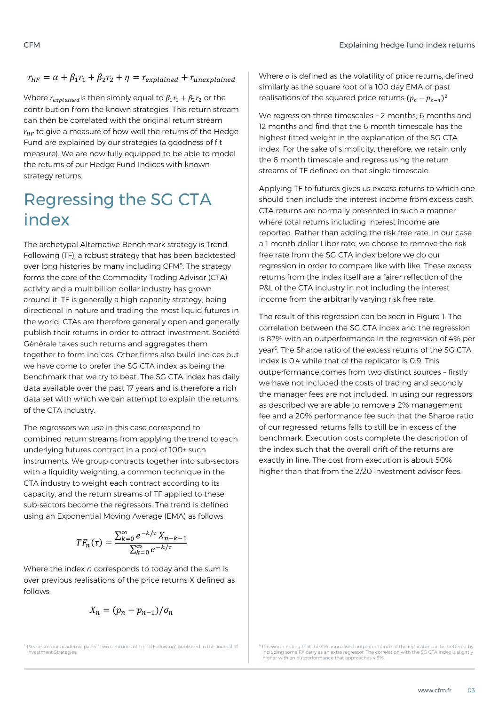### $r_{\mu} = \alpha + \beta_1 r_1 + \beta_2 r_2 + \eta = r_{explained} + r_{unexplained}$

Where  $r_{explained}$  is then simply equal to  $\beta_1 r_1 + \beta_2 r_2$  or the contribution from the known strategies. This return stream can then be correlated with the original return stream  $r_{HF}$  to give a measure of how well the returns of the Hedge Fund are explained by our strategies (a goodness of fit measure). We are now fully equipped to be able to model the returns of our Hedge Fund Indices with known strategy returns.

# Regressing the SG CTA index

The archetypal Alternative Benchmark strategy is Trend Following (TF), a robust strategy that has been backtested over long histories by many including CFM<sup>5</sup>. The strategy forms the core of the Commodity Trading Advisor (CTA) activity and a multibillion dollar industry has grown around it. TF is generally a high capacity strategy, being directional in nature and trading the most liquid futures in the world. CTAs are therefore generally open and generally publish their returns in order to attract investment. Société Générale takes such returns and aggregates them together to form indices. Other firms also build indices but we have come to prefer the SG CTA index as being the benchmark that we try to beat. The SG CTA index has daily data available over the past 17 years and is therefore a rich data set with which we can attempt to explain the returns of the CTA industry.

The regressors we use in this case correspond to combined return streams from applying the trend to each underlying futures contract in a pool of 100+ such instruments. We group contracts together into sub-sectors with a liquidity weighting, a common technique in the CTA industry to weight each contract according to its capacity, and the return streams of TF applied to these sub-sectors become the regressors. The trend is defined using an Exponential Moving Average (EMA) as follows:

$$
TF_n(\tau) = \frac{\sum_{k=0}^{\infty} e^{-k/\tau} X_{n-k-1}}{\sum_{k=0}^{\infty} e^{-k/\tau}}
$$

Where the index *n* corresponds to today and the sum is over previous realisations of the price returns X defined as follows:

$$
X_n = (p_n - p_{n-1})/\sigma_n
$$

<sup>5</sup> Please see our academic paper "Two Centuries of Trend Following" published in the Journal of Investment Strategies

Where *σ* is defined as the volatility of price returns, defined similarly as the square root of a 100 day EMA of past realisations of the squared price returns  $(p_n - p_{n-1})^2$ 

We regress on three timescales - 2 months, 6 months and 12 months and find that the 6 month timescale has the highest fitted weight in the explanation of the SG CTA index. For the sake of simplicity, therefore, we retain only the 6 month timescale and regress using the return streams of TF defined on that single timescale.

Applying TF to futures gives us excess returns to which one should then include the interest income from excess cash. CTA returns are normally presented in such a manner where total returns including interest income are reported. Rather than adding the risk free rate, in our case a 1 month dollar Libor rate, we choose to remove the risk free rate from the SG CTA index before we do our regression in order to compare like with like. These excess returns from the index itself are a fairer reflection of the P&L of the CTA industry in not including the interest income from the arbitrarily varying risk free rate.

The result of this regression can be seen in Figure 1. The correlation between the SG CTA index and the regression is 82% with an outperformance in the regression of 4% per year<sup>6</sup>. The Sharpe ratio of the excess returns of the SG CTA index is 0.4 while that of the replicator is 0.9. This outperformance comes from two distinct sources – firstly we have not included the costs of trading and secondly the manager fees are not included. In using our regressors as described we are able to remove a 2% management fee and a 20% performance fee such that the Sharpe ratio of our regressed returns falls to still be in excess of the benchmark. Execution costs complete the description of the index such that the overall drift of the returns are exactly in line. The cost from execution is about 50% higher than that from the 2/20 investment advisor fees.

 $^6$  It is worth noting that the 4% annualised outperformance of the replicator can be bettered by including some FX carry as an extra regressor. The correlation with the SG CTA index is slightly higher with an outperformance that approaches 4.5%.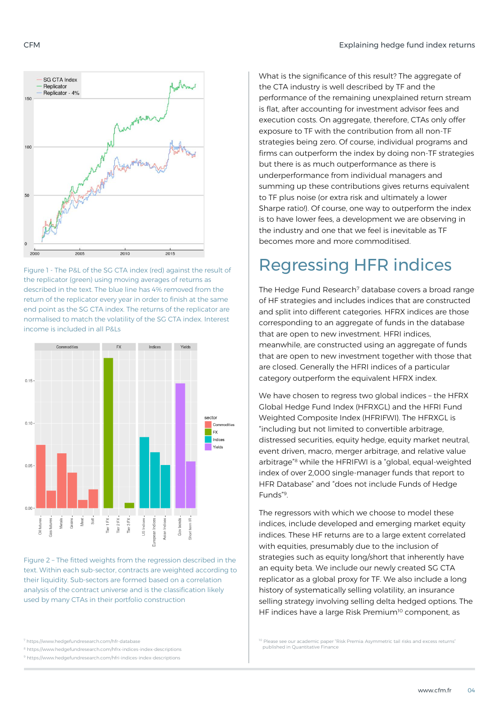

Figure 1 - The P&L of the SG CTA index (red) against the result of the replicator (green) using moving averages of returns as described in the text. The blue line has 4% removed from the return of the replicator every year in order to finish at the same end point as the SG CTA index. The returns of the replicator are normalised to match the volatility of the SG CTA index. Interest income is included in all P&Ls



Figure 2 – The fitted weights from the regression described in the text. Within each sub-sector, contracts are weighted according to their liquidity. Sub-sectors are formed based on a correlation analysis of the contract universe and is the classification likely used by many CTAs in their portfolio construction

<sup>9</sup> https://www.hedgefundresearch.com/hfri-indices-index-descriptions

What is the significance of this result? The aggregate of the CTA industry is well described by TF and the performance of the remaining unexplained return stream is flat, after accounting for investment advisor fees and execution costs. On aggregate, therefore, CTAs only offer exposure to TF with the contribution from all non-TF strategies being zero. Of course, individual programs and firms can outperform the index by doing non-TF strategies but there is as much outperformance as there is underperformance from individual managers and summing up these contributions gives returns equivalent to TF plus noise (or extra risk and ultimately a lower Sharpe ratio!). Of course, one way to outperform the index is to have lower fees, a development we are observing in the industry and one that we feel is inevitable as TF becomes more and more commoditised.

# Regressing HFR indices

The Hedge Fund Research<sup>7</sup> database covers a broad range of HF strategies and includes indices that are constructed and split into different categories. HFRX indices are those corresponding to an aggregate of funds in the database that are open to new investment. HFRI indices, meanwhile, are constructed using an aggregate of funds that are open to new investment together with those that are closed. Generally the HFRI indices of a particular category outperform the equivalent HFRX index.

We have chosen to regress two global indices – the HFRX Global Hedge Fund Index (HFRXGL) and the HFRI Fund Weighted Composite Index (HFRIFWI). The HFRXGL is "including but not limited to convertible arbitrage, distressed securities, equity hedge, equity market neutral, event driven, macro, merger arbitrage, and relative value arbitrage"<sup>8</sup> while the HFRIFWI is a "global, equal-weighted index of over 2,000 single-manager funds that report to HFR Database" and "does not include Funds of Hedge Funds"<sup>9</sup> .

The regressors with which we choose to model these indices, include developed and emerging market equity indices. These HF returns are to a large extent correlated with equities, presumably due to the inclusion of strategies such as equity long/short that inherently have an equity beta. We include our newly created SG CTA replicator as a global proxy for TF. We also include a long history of systematically selling volatility, an insurance selling strategy involving selling delta hedged options. The HF indices have a large Risk Premium<sup>10</sup> component, as

<sup>10</sup> Please see our academic paper "Risk Premia: Asymmetric tail risks and excess returns' published in Quantitative Finance

<sup>7</sup> https://www.hedgefundresearch.com/hfr-database

<sup>8</sup> https://www.hedgefundresearch.com/hfrx-indices-index-descriptions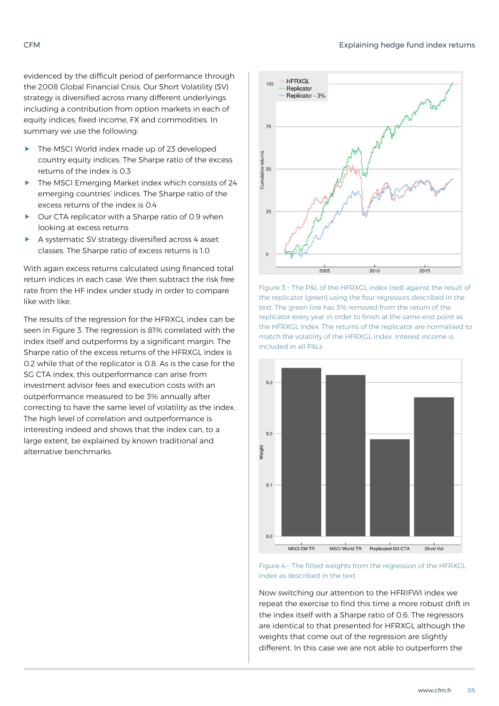evidenced by the difficult period of performance through the 2008 Global Financial Crisis. Our Short Volatility (SV) strategy is diversified across many different underlyings including a contribution from option markets in each of equity indices, fixed income, FX and commodities. In summary we use the following:

- The MSCI World index made up of 23 developed country equity indices. The Sharpe ratio of the excess returns of the index is 0.3
- $\blacktriangleright$  The MSCI Emerging Market index which consists of 24 emerging countries' indices. The Sharpe ratio of the excess returns of the index is 0.4
- Our CTA replicator with a Sharpe ratio of 0.9 when looking at excess returns
- A systematic SV strategy diversified across 4 asset classes. The Sharpe ratio of excess returns is 1.0

With again excess returns calculated using financed total return indices in each case. We then subtract the risk free rate from the HF index under study in order to compare like with like.

The results of the regression for the HFRXGL index can be seen in Figure 3. The regression is 81% correlated with the index itself and outperforms by a significant margin. The Sharpe ratio of the excess returns of the HFRXGL index is 0.2 while that of the replicator is 0.8. As is the case for the SG CTA index, this outperformance can arise from investment advisor fees and execution costs with an outperformance measured to be 3% annually after correcting to have the same level of volatility as the index. The high level of correlation and outperformance is interesting indeed and shows that the index can, to a large extent, be explained by known traditional and alternative benchmarks.







Figure 4 – The fitted weights from the regression of the HFRXGL index as described in the text

Now switching our attention to the HFRIFWI index we repeat the exercise to find this time a more robust drift in the index itself with a Sharpe ratio of 0.6. The regressors are identical to that presented for HFRXGL although the weights that come out of the regression are slightly different. In this case we are not able to outperform the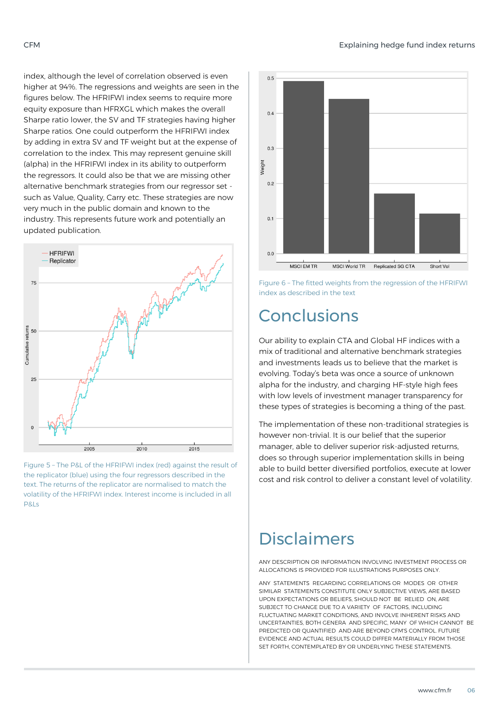index, although the level of correlation observed is even higher at 94%. The regressions and weights are seen in the figures below. The HFRIFWI index seems to require more equity exposure than HFRXGL which makes the overall Sharpe ratio lower, the SV and TF strategies having higher Sharpe ratios. One could outperform the HFRIFWI index by adding in extra SV and TF weight but at the expense of correlation to the index. This may represent genuine skill (alpha) in the HFRIFWI index in its ability to outperform the regressors. It could also be that we are missing other alternative benchmark strategies from our regressor set such as Value, Quality, Carry etc. These strategies are now very much in the public domain and known to the industry. This represents future work and potentially an updated publication.



Figure 5 – The P&L of the HFRIFWI index (red) against the result of the replicator (blue) using the four regressors described in the text. The returns of the replicator are normalised to match the volatility of the HFRIFWI index. Interest income is included in all P&Ls



Figure 6 – The fitted weights from the regression of the HFRIFWI index as described in the text

# Conclusions

Our ability to explain CTA and Global HF indices with a mix of traditional and alternative benchmark strategies and investments leads us to believe that the market is evolving. Today's beta was once a source of unknown alpha for the industry, and charging HF-style high fees with low levels of investment manager transparency for these types of strategies is becoming a thing of the past.

The implementation of these non-traditional strategies is however non-trivial. It is our belief that the superior manager, able to deliver superior risk-adjusted returns, does so through superior implementation skills in being able to build better diversified portfolios, execute at lower cost and risk control to deliver a constant level of volatility.

# Disclaimers

ANY DESCRIPTION OR INFORMATION INVOLVING INVESTMENT PROCESS OR ALLOCATIONS IS PROVIDED FOR ILLUSTRATIONS PURPOSES ONLY.

ANY STATEMENTS REGARDING CORRELATIONS OR MODES OR OTHER SIMILAR STATEMENTS CONSTITUTE ONLY SUBJECTIVE VIEWS, ARE BASED UPON EXPECTATIONS OR BELIEFS, SHOULD NOT BE RELIED ON, ARE SUBJECT TO CHANGE DUE TO A VARIETY OF FACTORS, INCLUDING FLUCTUATING MARKET CONDITIONS, AND INVOLVE INHERENT RISKS AND UNCERTAINTIES, BOTH GENERA AND SPECIFIC, MANY OF WHICH CANNOT BE PREDICTED OR QUANTIFIED AND ARE BEYOND CFM'S CONTROL. FUTURE EVIDENCE AND ACTUAL RESULTS COULD DIFFER MATERIALLY FROM THOSE SET FORTH, CONTEMPLATED BY OR UNDERLYING THESE STATEMENTS.